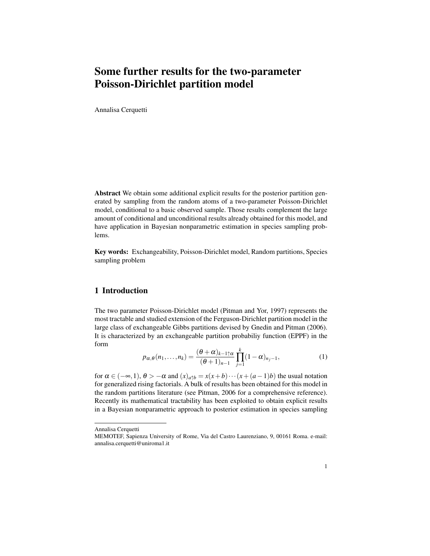## Some further results for the two-parameter Poisson-Dirichlet partition model

Annalisa Cerquetti

Abstract We obtain some additional explicit results for the posterior partition generated by sampling from the random atoms of a two-parameter Poisson-Dirichlet model, conditional to a basic observed sample. Those results complement the large amount of conditional and unconditional results already obtained for this model, and have application in Bayesian nonparametric estimation in species sampling problems.

Key words: Exchangeability, Poisson-Dirichlet model, Random partitions, Species sampling problem

## 1 Introduction

The two parameter Poisson-Dirichlet model (Pitman and Yor, 1997) represents the most tractable and studied extension of the Ferguson-Dirichlet partition model in the large class of exchangeable Gibbs partitions devised by Gnedin and Pitman (2006). It is characterized by an exchangeable partition probabiliy function (EPPF) in the form

$$
p_{\alpha,\theta}(n_1,\ldots,n_k) = \frac{(\theta+\alpha)_{k-1\uparrow\alpha}}{(\theta+1)_{n-1}} \prod_{j=1}^k (1-\alpha)_{n_j-1},\tag{1}
$$

for  $\alpha \in (-\infty, 1)$ ,  $\theta > -\alpha$  and  $(x)_{a \uparrow b} = x(x + b) \cdots (x + (a - 1)b)$  the usual notation for generalized rising factorials. A bulk of results has been obtained for this model in the random partitions literature (see Pitman, 2006 for a comprehensive reference). Recently its mathematical tractability has been exploited to obtain explicit results in a Bayesian nonparametric approach to posterior estimation in species sampling

Annalisa Cerquetti

MEMOTEF, Sapienza University of Rome, Via del Castro Laurenziano, 9, 00161 Roma. e-mail: annalisa.cerquetti@uniroma1.it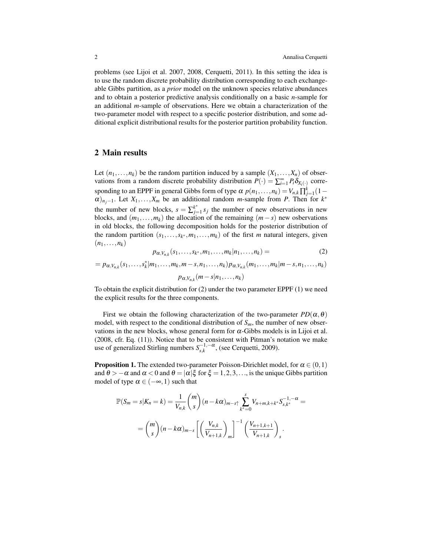problems (see Lijoi et al. 2007, 2008, Cerquetti, 2011). In this setting the idea is to use the random discrete probability distribution corresponding to each exchangeable Gibbs partition, as a *prior* model on the unknown species relative abundances and to obtain a posterior predictive analysis conditionally on a basic *n*-sample for an additional *m*-sample of observations. Here we obtain a characterization of the two-parameter model with respect to a specific posterior distribution, and some additional explicit distributional results for the posterior partition probability function.

## 2 Main results

Let  $(n_1,...,n_k)$  be the random partition induced by a sample  $(X_1,...,X_n)$  of observations from a random discrete probability distribution  $P(\cdot) = \sum_{i=1}^{\infty} P_i \delta_{X_i(\cdot)}$  corresponding to an EPPF in general Gibbs form of type  $\alpha$   $p(n_1,...,n_k) = V_{n,k} \prod_{j=1}^k (1 \alpha$ <sub>*nj*−1</sub>. Let *X*<sub>1</sub>,...,*X<sub>m</sub>* be an additional random *m*-sample from *P*. Then for *k*<sup>\*</sup> the number of new blocks,  $s = \sum_{j=1}^{k^*}$  $\sum_{j=1}^{k^*} s_j$  the number of new observations in new blocks, and  $(m_1, \ldots, m_k)$  the allocation of the remaining  $(m - s)$  new osbervations in old blocks, the following decomposition holds for the posterior distribution of the random partition  $(s_1, \ldots, s_k, m_1, \ldots, m_k)$  of the first *m* natural integers, given  $(n_1,\ldots,n_k)$ 

$$
p_{\alpha, V_{n,k}}(s_1, \ldots, s_{k^*}, m_1, \ldots, m_k | n_1, \ldots, n_k) = (2)
$$

$$
=p_{\alpha,V_{n,k}}(s_1,\ldots,s_k^*|m_1,\ldots,m_k,m-s,n_1,\ldots,n_k)p_{\alpha,V_{n,k}}(m_1,\ldots,m_k|m-s,n_1,\ldots,n_k)
$$
  

$$
p_{\alpha,V_{n,k}}(m-s|n_1,\ldots,n_k)
$$

To obtain the explicit distribution for (2) under the two parameter EPPF (1) we need the explicit results for the three components.

First we obtain the following characterization of the two-parameter  $PD(\alpha, \theta)$ model, with respect to the conditional distribution of  $S_m$ , the number of new observations in the new blocks, whose general form for  $\alpha$ -Gibbs models is in Lijoi et al. (2008, cfr. Eq. (11)). Notice that to be consistent with Pitman's notation we make use of generalized Stirling numbers  $S_{s,k}^{-1,-\alpha}$ , (see Cerquetti, 2009).

**Proposition 1.** The extended two-parameter Poisson-Dirichlet model, for  $\alpha \in (0,1)$ and  $\theta$  > − $\alpha$  and  $\alpha$  < 0 and  $\theta$  =  $|\alpha|\xi$  for  $\xi$  = 1, 2, 3, ..., is the unique Gibbs partition model of type  $\alpha \in (-\infty, 1)$  such that

$$
\mathbb{P}(S_m = s | K_n = k) = \frac{1}{V_{n,k}} {m \choose s} (n - k\alpha)_{m-s} \sum_{k^* = 0}^{s} V_{n+m,k+k^*} S_{s,k^*}^{-1,-\alpha} =
$$
  
= 
$$
{m \choose s} (n - k\alpha)_{m-s} \left[ \left( \frac{V_{n,k}}{V_{n+1,k}} \right)_m \right]^{-1} \left( \frac{V_{n+1,k+1}}{V_{n+1,k}} \right)_s.
$$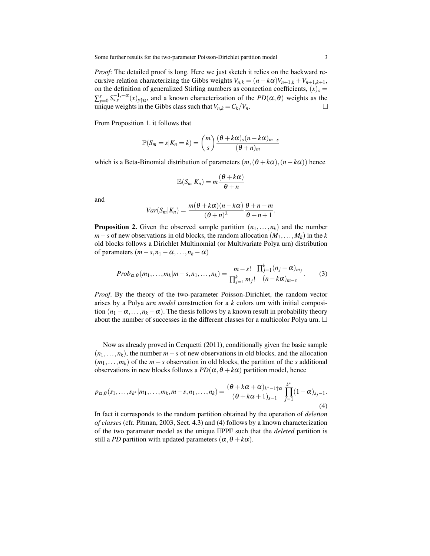*Proof*: The detailed proof is long. Here we just sketch it relies on the backward recursive relation characterizing the Gibbs weights  $V_{n,k} = (n - k\alpha)V_{n+1,k} + V_{n+1,k+1}$ , on the definition of generalized Stirling numbers as connection coefficients,  $(x)_s$  =  $\sum_{y=0}^{s} S_{s,y}^{-1,-\alpha}(x)_{y \uparrow \alpha}$ , and a known characterization of the  $PD(\alpha,\theta)$  weights as the unique weights in the Gibbs class such that  $V_{n,k} = C_k/V_n$ .

From Proposition 1. it follows that

$$
\mathbb{P}(S_m = s | K_n = k) = {m \choose s} \frac{(\theta + k\alpha)_s (n - k\alpha)_{m-s}}{(\theta + n)_m}
$$

which is a Beta-Binomial distribution of parameters  $(m,(\theta + k\alpha), (n - k\alpha))$  hence

$$
\mathbb{E}(S_m|K_n)=m\frac{(\theta+k\alpha)}{\theta+n}
$$

and

$$
Var(S_m|K_n) = \frac{m(\theta + k\alpha)(n - k\alpha)}{(\theta + n)^2} \frac{\theta + n + m}{\theta + n + 1}.
$$

**Proposition 2.** Given the observed sample partition  $(n_1, \ldots, n_k)$  and the number  $m - s$  of new observations in old blocks, the random allocation  $(M_1, \ldots, M_k)$  in the *k* old blocks follows a Dirichlet Multinomial (or Multivariate Polya urn) distribution of parameters  $(m-s, n_1 - \alpha, ..., n_k - \alpha)$ 

$$
Prob_{\alpha,\theta}(m_1,\ldots,m_k|m-s,n_1,\ldots,n_k) = \frac{m-s!}{\prod_{j=1}^k m_j!} \frac{\prod_{j=1}^k (n_j - \alpha)_{m_j}}{(n-k\alpha)_{m-s}}.
$$
 (3)

*Proof*. By the theory of the two-parameter Poisson-Dirichlet, the random vector arises by a Polya *urn model* construction for a *k* colors urn with initial composition  $(n_1 - \alpha, \ldots, n_k - \alpha)$ . The thesis follows by a known result in probability theory about the number of successes in the different classes for a multicolor Polya urn.  $\Box$ 

Now as already proved in Cerquetti (2011), conditionally given the basic sample  $(n_1, \ldots, n_k)$ , the number  $m - s$  of new observations in old blocks, and the allocation (*m*1,...,*mk*) of the *m*−*s* observation in old blocks, the partition of the *s* additional observations in new blocks follows a  $PD(\alpha, \theta + k\alpha)$  partition model, hence

$$
p_{\alpha,\theta}(s_1,\ldots,s_{k^*}|m_1,\ldots,m_k,m-s,n_1,\ldots,n_k) = \frac{(\theta + k\alpha + \alpha)_{k^*-1\uparrow\alpha}}{(\theta + k\alpha + 1)_{s-1}}\prod_{j=1}^{k^*}(1-\alpha)_{s_j-1}.
$$
\n(4)

In fact it corresponds to the random partition obtained by the operation of *deletion of classes* (cfr. Pitman, 2003, Sect. 4.3) and (4) follows by a known characterization of the two parameter model as the unique EPPF such that the *deleted* partition is still a *PD* partition with updated parameters  $(\alpha, \theta + k\alpha)$ .